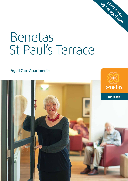# Benetas St Paul's Terrace

**age of aged care Enter a new**

**Aged Care Apartments**

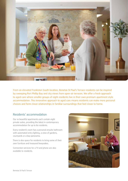

From an elevated Frankston South location, Benetas St Paul's Terrace residents can be inspired by sweeping Port Phillip Bay and city views from open-air terraces. We offer a fresh approach to aged care where smaller groups of eight residents live in their own premium apartment style accommodation. This innovative approach to aged care means residents can make more personal choices and form closer relationships in familiar surroundings that feel closer to home.

## Residents' accommodation

Our 10 beautiful apartments each contain eight private suites, providing the latest in contemporary accommodation for up to 80 residents.

Every resident's room has a personal ensuite bathroom with automated entry lighting, a view of gardens, courtyards or a bay panorama.

There is also space for residents to bring some of their own furniture and treasured keepsakes.

Connection services for a TV and phone are also available to residents.

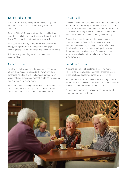# Dedicated support

Our staff are focused on supporting residents, guided by our values of respect, responsibility, community and spirit.

Benetas St Paul's Terrace staff are highly qualified and experienced. Clinical support from an in-house Registered Nurse (RN) is available at any time, day or night.

With dedicated primary carers for each smaller resident group, caring is much more personal and engaging, allowing more self-determination and choice for residents.

This brings a greater degree of consistency into residents' lives.

## Closer to home

Apartment-style accommodation enables each group of only eight residents access to their own first-class amenities including a relaxing lounge, bright open-air courtyards and terraces, an accessible kitchen with pantry, and a family-style dining room.

Residents' rooms are only a short distance from their social areas, doing away with long corridors and the remote accommodation areas of traditional nursing homes.

# Be yourself

Providing an intimate home-like environment, our aged care apartments are specifically designed for smaller groups of residents. We understand everyone is different. Our exciting new way of providing aged care allows our residents more individual freedom to choose how they live each day.

Our residents have the opportunity to participate in regular bus excursions, visiting musicians, movie screenings, exercise classes and regular 'happy hour' social evenings. We also celebrate various cultural and special events throughout the year. Visitors are, of course, welcome to join in special celebrations and events at Benetas St Paul's Terrace.

# Freedom of choice

With smaller groups of residents, there is far more flexibility to make choices about meals prepared by our expert cooks, and preferred times for meal service.

Each group has an accessible kitchen, including a pantry, where there are provisions for residents to make snacks for themselves, with each other or with visitors.

A private dining room is available for celebrations and more intimate family gatherings.

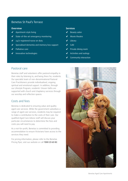## Benetas St Paul's Terrace

#### **Overview**

- ✓ Apartment-style living
- ✓ State-of-the-art emergency monitoring
- ✓ 24/7 registered nurse on duty
- ✓ Specialised dementia and memory loss support
- Palliative care
- ✓ Innovative technologies

#### **Services**

- Beauty salon
- Movie theatre
- Library
- Café
- ✓ Private dining room
- ✓ Activities and outings
- Community interaction

## Pastoral care

Benetas staff and volunteers offer pastoral empathy in their roles by listening to, and being there for, residents. Our specialist team of non-denominational Pastoral Care Practitioners provide individualised, ongoing spiritual and emotional support. In addition, through our Lifestyle Program, residents' chosen faiths are supported with church and chaplaincy services through our worship and reflection spaces.

## Costs and fees

Benetas is dedicated to ensuring value and quality aged care services. While the government subsidises a range of aged care services, residents may be required to make a contribution to the costs of their care. Our qualified Aged Care Advice staff will discuss your particular circumstances to determine the fees and costs you will need to pay.

As a not-for-profit, Benetas is committed to providing accommodation to ensure Victorians have access to the services they need.

For pricing information, please refer to the Benetas Pricing flyer, visit our website or call **1300 23 63 82**.

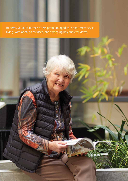Benetas St Paul's Terrace offers premium aged care apartment-style living, with open-air terraces, and sweeping bay and city views.